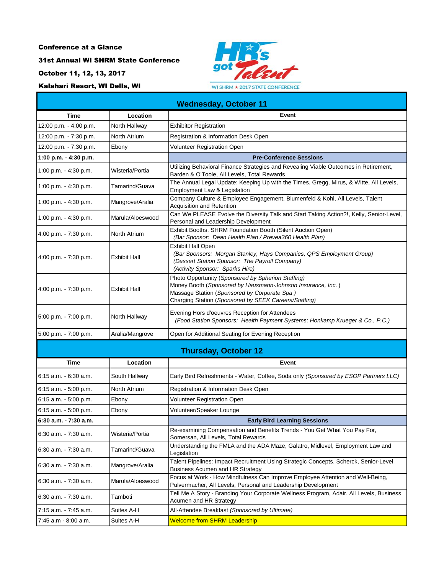31st Annual WI SHRM State Conference

October 11, 12, 13, 2017

Kalahari Resort, WI Dells, WI



| <b>Wednesday, October 11</b> |                     |                                                                                                                                                                                                                            |  |  |
|------------------------------|---------------------|----------------------------------------------------------------------------------------------------------------------------------------------------------------------------------------------------------------------------|--|--|
| <b>Time</b>                  | Location            | Event                                                                                                                                                                                                                      |  |  |
| 12:00 p.m. - 4:00 p.m.       | North Hallway       | <b>Exhibitor Registration</b>                                                                                                                                                                                              |  |  |
| 12:00 p.m. - 7:30 p.m.       | North Atrium        | Registration & Information Desk Open                                                                                                                                                                                       |  |  |
| 12:00 p.m. - 7:30 p.m.       | Ebony               | Volunteer Registration Open                                                                                                                                                                                                |  |  |
| 1:00 p.m. - 4:30 p.m.        |                     | <b>Pre-Conference Sessions</b>                                                                                                                                                                                             |  |  |
| 1:00 p.m. - 4:30 p.m.        | Wisteria/Portia     | Utilizing Behavioral Finance Strategies and Revealing Viable Outcomes in Retirement,<br>Barden & O'Toole, All Levels, Total Rewards                                                                                        |  |  |
| 1:00 p.m. - 4:30 p.m.        | Tamarind/Guava      | The Annual Legal Update: Keeping Up with the Times, Gregg, Mirus, & Witte, All Levels,<br>Employment Law & Legislation                                                                                                     |  |  |
| 1:00 p.m. $-4:30$ p.m.       | Mangrove/Aralia     | Company Culture & Employee Engagement, Blumenfeld & Kohl, All Levels, Talent<br><b>Acquisition and Retention</b>                                                                                                           |  |  |
| 1:00 p.m. - 4:30 p.m.        | Marula/Aloeswood    | Can We PLEASE Evolve the Diversity Talk and Start Taking Action?!, Kelly, Senior-Level,<br>Personal and Leadership Development                                                                                             |  |  |
| 4:00 p.m. - 7:30 p.m.        | North Atrium        | Exhibit Booths, SHRM Foundation Booth (Silent Auction Open)<br>(Bar Sponsor: Dean Health Plan / Prevea360 Health Plan)                                                                                                     |  |  |
| 4:00 p.m. - 7:30 p.m.        | <b>Exhibit Hall</b> | <b>Exhibit Hall Open</b><br>(Bar Sponsors: Morgan Stanley, Hays Companies, QPS Employment Group)<br>(Dessert Station Sponsor: The Payroll Company)<br>(Activity Sponsor: Sparks Hire)                                      |  |  |
| 4:00 p.m. - 7:30 p.m.        | <b>Exhibit Hall</b> | Photo Opportunity (Sponsored by Spherion Staffing)<br>Money Booth (Sponsored by Hausmann-Johnson Insurance, Inc.)<br>Massage Station (Sponsored by Corporate Spa)<br>Charging Station (Sponsored by SEEK Careers/Staffing) |  |  |
| 5:00 p.m. - 7:00 p.m.        | North Hallway       | Evening Hors d'oeuvres Reception for Attendees<br>(Food Station Sponsors: Health Payment Systems; Honkamp Krueger & Co., P.C.)                                                                                             |  |  |
| 5:00 p.m. - 7:00 p.m.        | Aralia/Mangrove     | Open for Additional Seating for Evening Reception                                                                                                                                                                          |  |  |
|                              |                     | <b>Thursday, October 12</b>                                                                                                                                                                                                |  |  |
| <b>Time</b>                  | Location            | Event                                                                                                                                                                                                                      |  |  |
| 6:15 a.m. - 6:30 a.m.        | South Hallway       | Early Bird Refreshments - Water, Coffee, Soda only (Sponsored by ESOP Partners LLC)                                                                                                                                        |  |  |
| 6:15 a.m. - 5:00 p.m.        | North Atrium        | Registration & Information Desk Open                                                                                                                                                                                       |  |  |
| 6:15 a.m. - 5:00 p.m.        | Ebony               | Volunteer Registration Open                                                                                                                                                                                                |  |  |
| 6:15 a.m. - 5:00 p.m.        | Ebony               | Volunteer/Speaker Lounge                                                                                                                                                                                                   |  |  |
| 6:30 a.m. - 7:30 a.m.        |                     | <b>Early Bird Learning Sessions</b>                                                                                                                                                                                        |  |  |
| 6:30 a.m. - 7:30 a.m.        | Wisteria/Portia     | Re-examining Compensation and Benefits Trends - You Get What You Pay For,<br>Somersan, All Levels, Total Rewards                                                                                                           |  |  |
| 6:30 a.m. - 7:30 a.m.        | Tamarind/Guava      | Understanding the FMLA and the ADA Maze, Galatro, Midlevel, Employment Law and<br>Legislation                                                                                                                              |  |  |
| 6:30 a.m. - 7:30 a.m.        | Mangrove/Aralia     | Talent Pipelines: Impact Recruitment Using Strategic Concepts, Scherck, Senior-Level,<br>Business Acumen and HR Strategy                                                                                                   |  |  |
| 6:30 a.m. - 7:30 a.m.        | Marula/Aloeswood    | Focus at Work - How Mindfulness Can Improve Employee Attention and Well-Being,<br>Pulvermacher, All Levels, Personal and Leadership Development                                                                            |  |  |
| 6:30 a.m. - 7:30 a.m.        | Tamboti             | Tell Me A Story - Branding Your Corporate Wellness Program, Adair, All Levels, Business<br>Acumen and HR Strategy                                                                                                          |  |  |
| 7:15 a.m. - 7:45 a.m.        | Suites A-H          | All-Attendee Breakfast (Sponsored by Ultimate)                                                                                                                                                                             |  |  |
| 7:45 a.m - 8:00 a.m.         | Suites A-H          | <b>Welcome from SHRM Leadership</b>                                                                                                                                                                                        |  |  |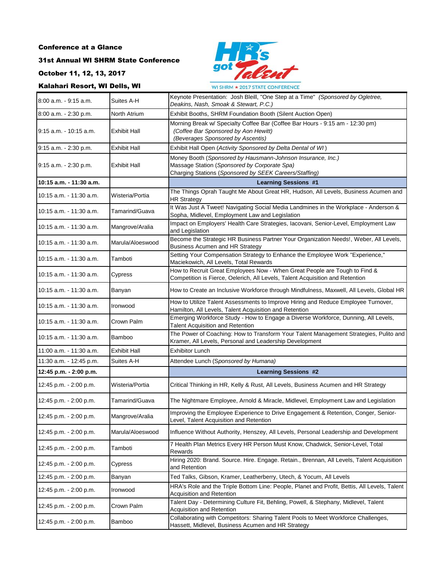# 31st Annual WI SHRM State Conference

October 11, 12, 13, 2017

# Kalahari Resort, WI Dells, WI



| KAIANAN KESON, III DENS, III |                     | WI SHRM * 2017 STATE CONFERENCE                                                                                                                                       |
|------------------------------|---------------------|-----------------------------------------------------------------------------------------------------------------------------------------------------------------------|
| 8:00 a.m. - 9:15 a.m.        | Suites A-H          | Keynote Presentation: Josh Bleill, "One Step at a Time" (Sponsored by Ogletree,<br>Deakins, Nash, Smoak & Stewart, P.C.)                                              |
| 8:00 a.m. - 2:30 p.m.        | North Atrium        | Exhibit Booths, SHRM Foundation Booth (Silent Auction Open)                                                                                                           |
| 9:15 a.m. - 10:15 a.m.       | <b>Exhibit Hall</b> | Morning Break w/ Specialty Coffee Bar (Coffee Bar Hours - 9:15 am - 12:30 pm)<br>(Coffee Bar Sponsored by Aon Hewitt)<br>(Beverages Sponsored by Ascentis)            |
| 9:15 a.m. - 2:30 p.m.        | Exhibit Hall        | Exhibit Hall Open (Activity Sponsored by Delta Dental of WI)                                                                                                          |
| 9:15 a.m. - 2:30 p.m.        | Exhibit Hall        | Money Booth (Sponsored by Hausmann-Johnson Insurance, Inc.)<br>Massage Station (Sponsored by Corporate Spa)<br>Charging Stations (Sponsored by SEEK Careers/Staffing) |
| 10:15 a.m. - 11:30 a.m.      |                     | <b>Learning Sessions #1</b>                                                                                                                                           |
| 10:15 a.m. 11:30 a.m.        | Wisteria/Portia     | The Things Oprah Taught Me About Great HR, Hudson, All Levels, Business Acumen and<br><b>HR Strategy</b>                                                              |
| 10:15 a.m. - 11:30 a.m.      | Tamarind/Guava      | It Was Just A Tweet! Navigating Social Media Landmines in the Workplace - Anderson &<br>Sopha, Midlevel, Employment Law and Legislation                               |
| 10:15 a.m. 11:30 a.m.        | Mangrove/Aralia     | Impact on Employers' Health Care Strategies, Iacovani, Senior-Level, Employment Law<br>and Legislation                                                                |
| 10:15 a.m. 11:30 a.m.        | Marula/Aloeswood    | Become the Strategic HR Business Partner Your Organization Needs!, Weber, All Levels,<br><b>Business Acumen and HR Strategy</b>                                       |
| 10:15 a.m. 11:30 a.m.        | Tamboti             | Setting Your Compensation Strategy to Enhance the Employee Work "Experience,"<br>Maciekowich, All Levels, Total Rewards                                               |
| 10:15 a.m. - 11:30 a.m.      | Cypress             | How to Recruit Great Employees Now - When Great People are Tough to Find &<br>Competition is Fierce, Oelerich, All Levels, Talent Acquisition and Retention           |
| 10:15 a.m. - 11:30 a.m.      | Banyan              | How to Create an Inclusive Workforce through Mindfulness, Maxwell, All Levels, Global HR                                                                              |
| 10:15 a.m. 11:30 a.m.        | Ironwood            | How to Utilize Talent Assessments to Improve Hiring and Reduce Employee Turnover,<br>Hamilton, All Levels, Talent Acquisition and Retention                           |
| 10:15 a.m. 11:30 a.m.        | Crown Palm          | Emerging Workforce Study - How to Engage a Diverse Workforce, Dunning, All Levels,<br>Talent Acquisition and Retention                                                |
| 10:15 a.m. - 11:30 a.m.      | Bamboo              | The Power of Coaching: How to Transform Your Talent Management Strategies, Pulito and<br>Kramer, All Levels, Personal and Leadership Development                      |
| 11:00 a.m. - 11:30 a.m.      | Exhibit Hall        | <b>Exhibitor Lunch</b>                                                                                                                                                |
| 11:30 a.m. - 12:45 p.m.      | Suites A-H          | Attendee Lunch (Sponsored by Humana)                                                                                                                                  |
| 12:45 p.m. - 2:00 p.m.       |                     | <b>Learning Sessions #2</b>                                                                                                                                           |
| 12:45 p.m. - 2:00 p.m.       | Wisteria/Portia     | Critical Thinking in HR, Kelly & Rust, All Levels, Business Acumen and HR Strategy                                                                                    |
| 12:45 p.m. - 2:00 p.m.       | Tamarind/Guava      | The Nightmare Employee, Arnold & Miracle, Midlevel, Employment Law and Legislation                                                                                    |
| 12:45 p.m. - 2:00 p.m.       | Mangrove/Aralia     | Improving the Employee Experience to Drive Engagement & Retention, Conger, Senior-<br>Level, Talent Acquisition and Retention                                         |
| 12:45 p.m. - 2:00 p.m.       | Marula/Aloeswood    | Influence Without Authority, Henszey, All Levels, Personal Leadership and Development                                                                                 |
| 12:45 p.m. - 2:00 p.m.       | Tamboti             | 7 Health Plan Metrics Every HR Person Must Know, Chadwick, Senior-Level, Total<br><b>Rewards</b>                                                                      |
| 12:45 p.m. - 2:00 p.m.       | Cypress             | Hiring 2020: Brand. Source. Hire. Engage. Retain., Brennan, All Levels, Talent Acquisition<br>and Retention                                                           |
| 12:45 p.m. - 2:00 p.m.       | Banyan              | Ted Talks, Gibson, Kramer, Leatherberry, Utech, & Yocum, All Levels                                                                                                   |
| 12:45 p.m. - 2:00 p.m.       | Ironwood            | HRA's Role and the Triple Bottom Line: People, Planet and Profit, Bettis, All Levels, Talent<br>Acquisition and Retention                                             |
| 12:45 p.m. - 2:00 p.m.       | Crown Palm          | Talent Day - Determining Culture Fit, Behling, Powell, & Stephany, Midlevel, Talent<br>Acquisition and Retention                                                      |
| 12:45 p.m. - 2:00 p.m.       | Bamboo              | Collaborating with Competitors: Sharing Talent Pools to Meet Workforce Challenges,<br>Hassett, Midlevel, Business Acumen and HR Strategy                              |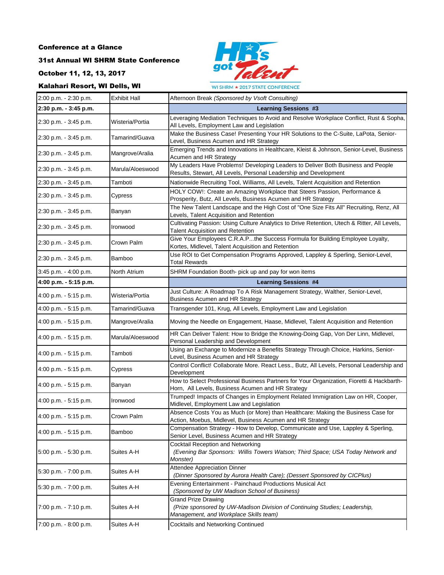### 31st Annual WI SHRM State Conference

October 11, 12, 13, 2017

#### Kalahari Resort, WI Dells, WI



2:00 p.m. - 2:30 p.m. **Exhibit Hall Afternoon Break** *(Sponsored by Vsoft Consulting)*<br>2:20 p.m. 2:45 p.m. Reserved Break *(Sponsored by Vsoft Consulting)* **2:30 p.m. - 3:45 p.m. Learning Sessions #3** 2:30 p.m. - 3:45 p.m. Wisteria/Portia Leveraging Mediation Techniques to Avoid and Resolve Workplace Conflict, Rust & Sopha, All Levels, Employment Law and Legislation 2:30 p.m. - 3:45 p.m. Tamarind/Guava Make the Business Case! Presenting Your HR Solutions to the C-Suite, LaPota, Senior-Level, Business Acumen and HR Strategy 2:30 p.m. - 3:45 p.m. Mangrove/Aralia Emerging Trends and Innovations in Healthcare, Kleist & Johnson, Senior-Level, Business Acumen and HR Strategy 2:30 p.m. - 3:45 p.m. Marula/Aloeswood My Leaders Have Problems! Developing Leaders to Deliver Both Business and People Results, Stewart, All Levels, Personal Leadership and Development 2:30 p.m. - 3:45 p.m. Tamboti Nationwide Recruiting Tool, Williams, All Levels, Talent Acquisition and Retention 2:30 p.m. - 3:45 p.m. Cypress HOLY COW!: Create an Amazing Workplace that Steers Passion, Performance & Prosperity, Butz, All Levels, Business Acumen and HR Strategy 2:30 p.m. - 3:45 p.m. Banyan The New Talent Landscape and the High Cost of "One Size Fits All" Recruiting, Renz, All Levels, Talent Acquisition and Retention 2:30 p.m. - 3:45 p.m. Ironwood Cultivating Passion: Using Culture Analytics to Drive Retention, Utech & Ritter, All Levels, Talent Acquisition and Retention 2:30 p.m. - 3:45 p.m. Crown Palm Give Your Employees C.R.A.P...the Success Formula for Building Employee Loyalty, Kortes, Midlevel, Talent Acquisition and Retention 2:30 p.m. - 3:45 p.m. Bamboo Use ROI to Get Compensation Programs Approved, Lappley & Sperling, Senior-Level, Total Rewards 3:45 p.m. - 4:00 p.m. North Atrium SHRM Foundation Booth- pick up and pay for won items **4:00 p.m. - 5:15 p.m. Learning Sessions #4** 4:00 p.m. - 5:15 p.m. Wisteria/Portia Just Culture: A Roadmap To A Risk Management Strategy, Walther, Senior-Level, Business Acumen and HR Strategy 4:00 p.m. - 5:15 p.m. Tamarind/Guava Transgender 101, Krug, All Levels, Employment Law and Legislation 4:00 p.m. - 5:15 p.m. Mangrove/Aralia Moving the Needle on Engagement, Haase, Midlevel, Talent Acquisition and Retention 4:00 p.m. - 5:15 p.m. Marula/Aloeswood HR Can Deliver Talent: How to Bridge the Knowing-Doing Gap, Von Der Linn, Midlevel, Personal Leadership and Development 4:00 p.m. - 5:15 p.m. Tamboti Using an Exchange to Modernize a Benefits Strategy Through Choice, Harkins, Senior-Level, Business Acumen and HR Strategy 4:00 p.m. - 5:15 p.m. Cypress Control Conflict! Collaborate More. React Less., Butz, All Levels, Personal Leadership and Development 4:00 p.m. - 5:15 p.m. Banyan How to Select Professional Business Partners for Your Organization, Fioretti & Hackbarth-Horn, All Levels, Business Acumen and HR Strategy 4:00 p.m. - 5:15 p.m. Ironwood Trumped! Impacts of Changes in Employment Related Immigration Law on HR, Cooper, Midlevel, Employment Law and Legislation 4:00 p.m. - 5:15 p.m. Crown Palm Absence Costs You as Much (or More) than Healthcare: Making the Business Case for Action, Moebus, Midlevel, Business Acumen and HR Strategy 4:00 p.m. - 5:15 p.m. Bamboo Compensation Strategy - How to Develop, Communicate and Use, Lappley & Sperling, Senior Level, Business Acumen and HR Strategy 5:00 p.m. - 5:30 p.m. Suites A-H Cocktail Reception and Networking *(Evening Bar Sponsors: Willis Towers Watson; Third Space; USA Today Network and Monster)* 5:30 p.m. - 7:00 p.m. Suites A-H Attendee Appreciation Dinner *(Dinner Sponsored by Aurora Health Care); (Dessert Sponsored by CICPlus)* 5:30 p.m. - 7:00 p.m. Suites A-H Evening Entertainment - Painchaud Productions Musical Act *(Sponsored by UW Madison School of Business)* 7:00 p.m. - 7:10 p.m. Suites A-H Grand Prize Drawing *(Prize sponsored by UW-Madison Division of Continuing Studies; Leadership, Management, and Workplace Skills team)* 7:00 p.m. - 8:00 p.m. Suites A-H Cocktails and Networking Continued